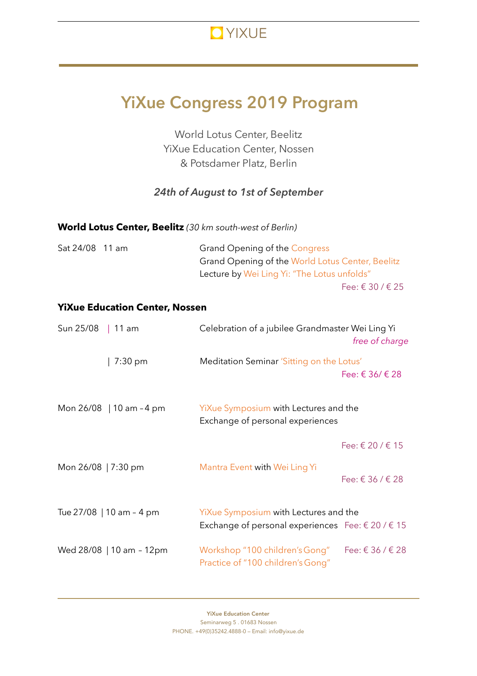

# **YiXue Congress 2019 Program**

World Lotus Center, Beelitz YiXue Education Center, Nossen & Potsdamer Platz, Berlin

## *24th of August to 1st of September*

| World Lotus Center, Beelitz (30 km south-west of Berlin) |  |
|----------------------------------------------------------|--|
|----------------------------------------------------------|--|

| Sat 24/08 11 am | Grand Opening of the Congress                    |
|-----------------|--------------------------------------------------|
|                 | Grand Opening of the World Lotus Center, Beelitz |
|                 | Lecture by Wei Ling Yi: "The Lotus unfolds"      |
|                 | Fee: € 30 / € 25                                 |

#### **YiXue Education Center, Nossen**

| Sun 25/08   11 am   |                          | Celebration of a jubilee Grandmaster Wei Ling Yi<br>free of charge                                           |                         |
|---------------------|--------------------------|--------------------------------------------------------------------------------------------------------------|-------------------------|
|                     | 7:30 pm                  | Meditation Seminar 'Sitting on the Lotus'                                                                    | Fee: $\in$ 36/ $\in$ 28 |
|                     | Mon 26/08   10 am - 4 pm | YiXue Symposium with Lectures and the<br>Exchange of personal experiences                                    |                         |
|                     |                          |                                                                                                              | Fee: € 20 / € 15        |
| Mon 26/08   7:30 pm |                          | Mantra Event with Wei Ling Yi                                                                                | Fee: € 36 / € 28        |
|                     | Tue 27/08   10 am - 4 pm | YiXue Symposium with Lectures and the<br>Exchange of personal experiences Fee: $\epsilon$ 20 / $\epsilon$ 15 |                         |
|                     | Wed 28/08   10 am - 12pm | Workshop "100 children's Gong"<br>Practice of "100 children's Gong"                                          | Fee: € 36 / € 28        |